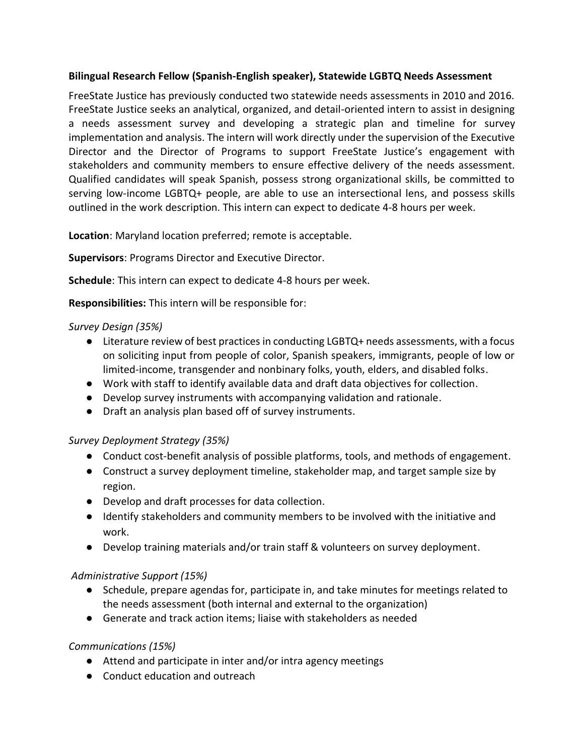### **Bilingual Research Fellow (Spanish-English speaker), Statewide LGBTQ Needs Assessment**

FreeState Justice has previously conducted two statewide needs assessments in 2010 and 2016. FreeState Justice seeks an analytical, organized, and detail-oriented intern to assist in designing a needs assessment survey and developing a strategic plan and timeline for survey implementation and analysis. The intern will work directly under the supervision of the Executive Director and the Director of Programs to support FreeState Justice's engagement with stakeholders and community members to ensure effective delivery of the needs assessment. Qualified candidates will speak Spanish, possess strong organizational skills, be committed to serving low-income LGBTQ+ people, are able to use an intersectional lens, and possess skills outlined in the work description. This intern can expect to dedicate 4-8 hours per week.

**Location**: Maryland location preferred; remote is acceptable.

**Supervisors**: Programs Director and Executive Director.

**Schedule**: This intern can expect to dedicate 4-8 hours per week.

**Responsibilities:** This intern will be responsible for:

### *Survey Design (35%)*

- Literature review of best practices in conducting LGBTQ+ needs assessments, with a focus on soliciting input from people of color, Spanish speakers, immigrants, people of low or limited-income, transgender and nonbinary folks, youth, elders, and disabled folks.
- Work with staff to identify available data and draft data objectives for collection.
- Develop survey instruments with accompanying validation and rationale.
- Draft an analysis plan based off of survey instruments.

# *Survey Deployment Strategy (35%)*

- Conduct cost-benefit analysis of possible platforms, tools, and methods of engagement.
- Construct a survey deployment timeline, stakeholder map, and target sample size by region.
- Develop and draft processes for data collection.
- Identify stakeholders and community members to be involved with the initiative and work.
- Develop training materials and/or train staff & volunteers on survey deployment.

# *Administrative Support (15%)*

- Schedule, prepare agendas for, participate in, and take minutes for meetings related to the needs assessment (both internal and external to the organization)
- Generate and track action items; liaise with stakeholders as needed

# *Communications (15%)*

- Attend and participate in inter and/or intra agency meetings
- Conduct education and outreach